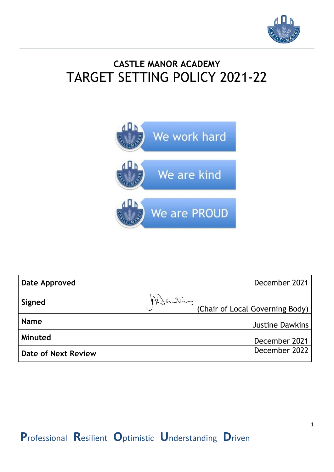

## **CASTLE MANOR ACADEMY** TARGET SETTING POLICY 2021-22



| Date Approved       | December 2021                               |
|---------------------|---------------------------------------------|
| Signed              | Attaling<br>(Chair of Local Governing Body) |
| <b>Name</b>         | <b>Justine Dawkins</b>                      |
| Minuted             | December 2021                               |
| Date of Next Review | December 2022                               |